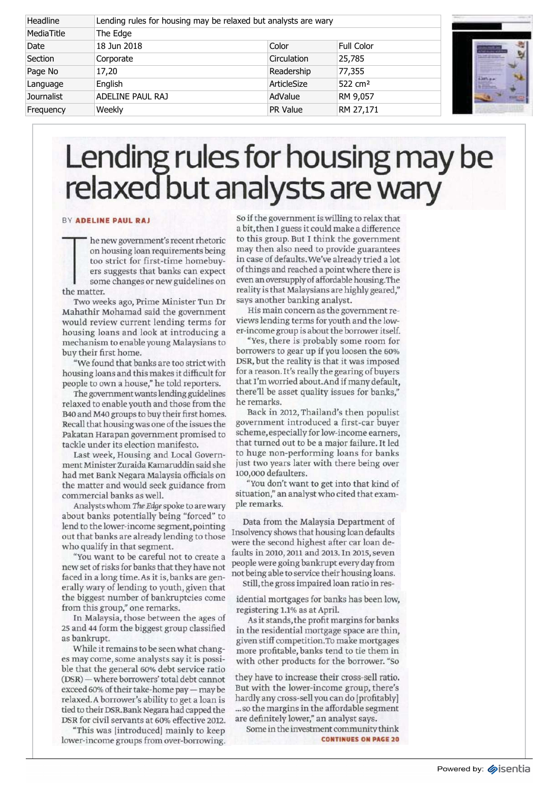| Headline          | Lending rules for housing may be relaxed but analysts are wary |                 |                     |                     |
|-------------------|----------------------------------------------------------------|-----------------|---------------------|---------------------|
| MediaTitle        | The Edge                                                       |                 |                     |                     |
| Date              | 18 Jun 2018                                                    | Color           | Full Color          | an a                |
| Section           | Corporate                                                      | Circulation     | 25,785              |                     |
| Page No           | 17,20                                                          | Readership      | 77,355              |                     |
| Language          | English                                                        | ArticleSize     | 522 cm <sup>2</sup> | ian <sub>is</sub> . |
| <b>Journalist</b> | ADELINE PAUL RAJ                                               | AdValue         | RM 9,057            |                     |
| Frequency         | Weekly                                                         | <b>PR Value</b> | RM 27,171           |                     |

## Lending rules for housing may be relaxed but analysts are wary

## **BY ADELINE PAUL RAJ**

on h<br>too s<br>ers s<br>some<br>the matter. he new government's recent rhetoric on housing loan requirements being too strict for first-time homebuyers suggests that banks can expect some changes or new guidelines on

Two weeks ago, Prime Minister Tun Dr Mahathir Mohamad said the government would review current lending terms for housing loans and look at introducing a mechanism to enable young Malaysians to buy their first home.

"We found that banks are too strict with housing loans and this makes it difficult for people to own a house," he told reporters.

The government wants lending guidelines relaxed to enable youth and those from the B40 and M40 groups to buy their first homes. Recall that housing was one of the issues the Pakatan Harapan government promised to tackle under its election manifesto.

Last week, Housing and Local Government Minister Zuraida Kamaruddin said she had met Bank Negara Malaysia officials on the matter and would seek guidance from commercial banks as well.

Analysts whom *The Edge* spoke to are wary about banks potentially being "forced" to lend to the lower-income segment, pointing out that banks are already lending to those who qualify in that segment.

"You want to be careful not to create a new set of risks for banks that they have not faced in a long time. As it is,banks are generally wary of lending to youth, given that the biggest number of bankruptcies come from this group," one remarks.

In Malaysia, those between the ages of 25 and 44 form the biggest group classified as bankrupt.

While it remains to be seen what changes may come, some analysts say it is possible that the general 60% debt service ratio (DSR) — where borrowers' total debt cannot exceed 60% of their take-home pay — maybe relaxed. A borrower's ability to get a loan is tied to their DSR. Bank Negara had capped the DSR for civil servants at 60% effective 2012.

"This was [introduced] mainly to keep lower-income groups from over-borrowing. So if the government is willing to relax that a bit, then I guess it could make a difference to this group. But I think the government may then also need to provide guarantees in case of defaults. We've already tried a lot of things and reached a point where there is even an oversupply of affordable housing.The reality is that Malaysians are highly geared," says another banking analyst.

His main concern as the government reviews lending terms for youth and the lower-income group is about the borrower itself.

"Yes, there is probably some room for borrowers to gear up if you loosen the 60% DSR, but the reality is that it was imposed for a reason. It's really the gearing of buyers that I'm worried about. And if many default, there'll be asset quality issues for banks," he remarks.

Back in 2012, Thailand's then populist government introduced a first-car buyer scheme, especially for low-income earners, that turned out to be a major failure. It led to huge non-performing loans for banks just two years later with there being over 100,000 defaulters.

"You don't want to get into that kind of situation," an analyst who cited that example remarks.

Data from the Malaysia Department of Insolvency shows that housing loan defaults were the second highest after car loan defaults in 2010,2011 and 2013. In 2015, seven people were going bankrupt every day from not being able to service their housing loans. Still, the gross impaired loan ratio in res-

idential mortgages for banks has been low, registering 1.1% as at April.

As it stands, the profit margins for banks in the residential mortgage space are thin, given stiff competition.To make mortgages more profitable, banks tend to tie them in with other products for the borrower. "So

they have to increase their cross-sell ratio. But with the lower-income group, there's hardly any cross-sell you can do [profitably] ...so the margins in the affordable segment are definitely lower," an analyst says.

Some in the investment community think **CONTINUES ON PAGE 20**